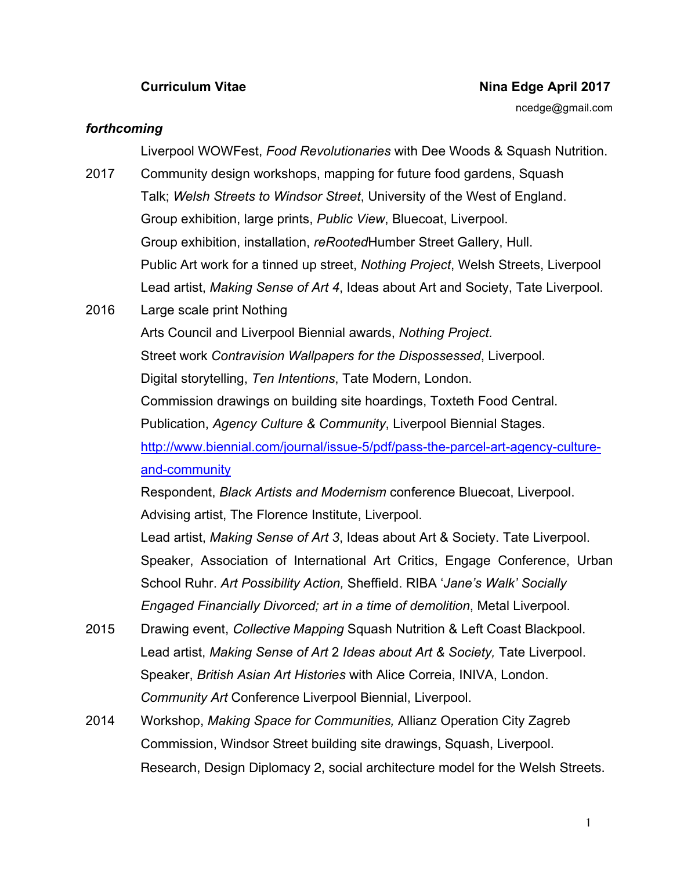## **Curriculum Vitae Nina Edge April 2017**

ncedge@gmail.com

## *forthcoming*

Liverpool WOWFest, *Food Revolutionaries* with Dee Woods & Squash Nutrition.

- 2017 Community design workshops, mapping for future food gardens, Squash Talk; *Welsh Streets to Windsor Street*, University of the West of England. Group exhibition, large prints, *Public View*, Bluecoat, Liverpool. Group exhibition, installation, *reRooted*Humber Street Gallery, Hull. Public Art work for a tinned up street, *Nothing Project*, Welsh Streets, Liverpool Lead artist, *Making Sense of Art 4*, Ideas about Art and Society, Tate Liverpool.
- 2016 Large scale print Nothing

Arts Council and Liverpool Biennial awards, *Nothing Project.* Street work *Contravision Wallpapers for the Dispossessed*, Liverpool. Digital storytelling, *Ten Intentions*, Tate Modern, London. Commission drawings on building site hoardings, Toxteth Food Central. Publication, *Agency Culture & Community*, Liverpool Biennial Stages. http://www.biennial.com/journal/issue-5/pdf/pass-the-parcel-art-agency-cultureand-community

Respondent, *Black Artists and Modernism* conference Bluecoat, Liverpool. Advising artist, The Florence Institute, Liverpool.

Lead artist, *Making Sense of Art 3*, Ideas about Art & Society. Tate Liverpool. Speaker, Association of International Art Critics, Engage Conference, Urban School Ruhr. *Art Possibility Action,* Sheffield. RIBA '*Jane's Walk' Socially Engaged Financially Divorced; art in a time of demolition*, Metal Liverpool.

- 2015 Drawing event, *Collective Mapping* Squash Nutrition & Left Coast Blackpool. Lead artist, *Making Sense of Art* 2 *Ideas about Art & Society,* Tate Liverpool. Speaker, *British Asian Art Histories* with Alice Correia, INIVA, London. *Community Art* Conference Liverpool Biennial, Liverpool.
- 2014 Workshop, *Making Space for Communities,* Allianz Operation City Zagreb Commission, Windsor Street building site drawings, Squash, Liverpool. Research, Design Diplomacy 2, social architecture model for the Welsh Streets.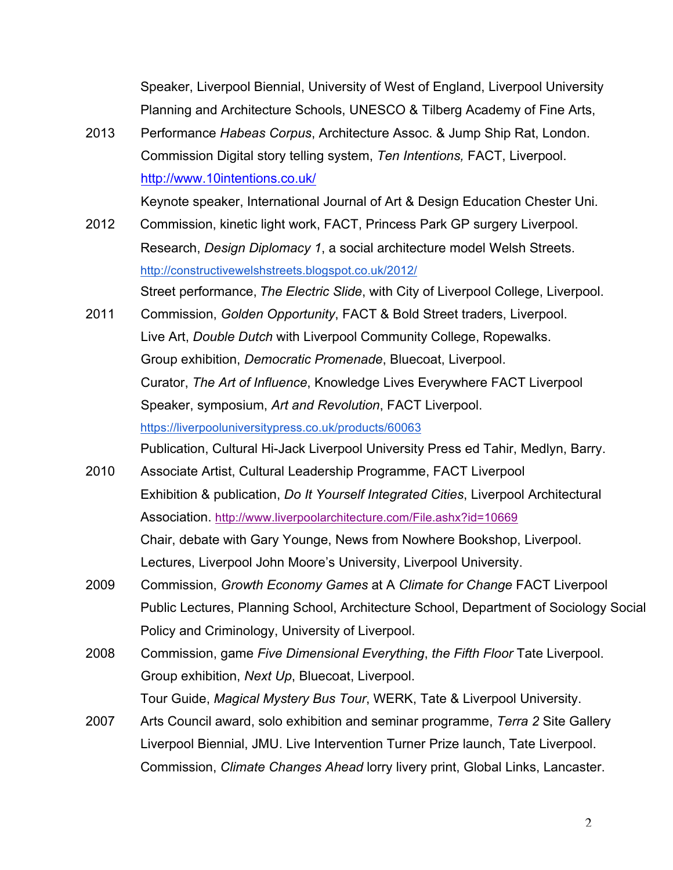Speaker, Liverpool Biennial, University of West of England, Liverpool University Planning and Architecture Schools, UNESCO & Tilberg Academy of Fine Arts,

2013 Performance *Habeas Corpus*, Architecture Assoc. & Jump Ship Rat, London. Commission Digital story telling system, *Ten Intentions,* FACT, Liverpool. http://www.10intentions.co.uk/

Keynote speaker, International Journal of Art & Design Education Chester Uni.

- 2012 Commission, kinetic light work, FACT, Princess Park GP surgery Liverpool. Research, *Design Diplomacy 1*, a social architecture model Welsh Streets. http://constructivewelshstreets.blogspot.co.uk/2012/ Street performance, *The Electric Slide*, with City of Liverpool College, Liverpool.
- 2011 Commission, *Golden Opportunity*, FACT & Bold Street traders, Liverpool. Live Art, *Double Dutch* with Liverpool Community College, Ropewalks. Group exhibition, *Democratic Promenade*, Bluecoat, Liverpool. Curator, *The Art of Influence*, Knowledge Lives Everywhere FACT Liverpool Speaker, symposium, *Art and Revolution*, FACT Liverpool. https://liverpooluniversitypress.co.uk/products/60063 Publication, Cultural Hi-Jack Liverpool University Press ed Tahir, Medlyn, Barry.
- 2010 Associate Artist, Cultural Leadership Programme, FACT Liverpool Exhibition & publication, *Do It Yourself Integrated Cities*, Liverpool Architectural Association. http://www.liverpoolarchitecture.com/File.ashx?id=10669 Chair, debate with Gary Younge, News from Nowhere Bookshop, Liverpool. Lectures, Liverpool John Moore's University, Liverpool University.
- 2009 Commission, *Growth Economy Games* at A *Climate for Change* FACT Liverpool Public Lectures, Planning School, Architecture School, Department of Sociology Social Policy and Criminology, University of Liverpool.
- 2008 Commission, game *Five Dimensional Everything*, *the Fifth Floor* Tate Liverpool. Group exhibition, *Next Up*, Bluecoat, Liverpool. Tour Guide, *Magical Mystery Bus Tour*, WERK, Tate & Liverpool University.
- 2007 Arts Council award, solo exhibition and seminar programme, *Terra 2* Site Gallery Liverpool Biennial, JMU. Live Intervention Turner Prize launch, Tate Liverpool. Commission, *Climate Changes Ahead* lorry livery print, Global Links, Lancaster.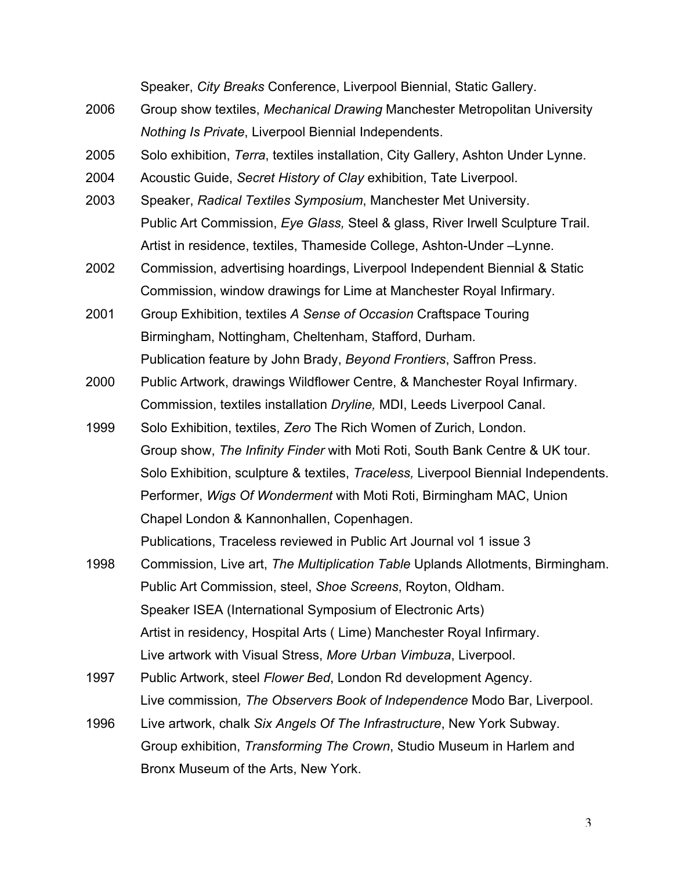Speaker, *City Breaks* Conference, Liverpool Biennial, Static Gallery. 2006 Group show textiles, *Mechanical Drawing* Manchester Metropolitan University *Nothing Is Private*, Liverpool Biennial Independents. 2005 Solo exhibition, *Terra*, textiles installation, City Gallery, Ashton Under Lynne. 2004 Acoustic Guide, *Secret History of Clay* exhibition, Tate Liverpool. 2003 Speaker, *Radical Textiles Symposium*, Manchester Met University. Public Art Commission, *Eye Glass,* Steel & glass, River Irwell Sculpture Trail. Artist in residence, textiles, Thameside College, Ashton-Under –Lynne. 2002 Commission, advertising hoardings, Liverpool Independent Biennial & Static Commission, window drawings for Lime at Manchester Royal Infirmary. 2001 Group Exhibition, textiles *A Sense of Occasion* Craftspace Touring Birmingham, Nottingham, Cheltenham, Stafford, Durham. Publication feature by John Brady, *Beyond Frontiers*, Saffron Press. 2000 Public Artwork, drawings Wildflower Centre, & Manchester Royal Infirmary. Commission, textiles installation *Dryline,* MDI, Leeds Liverpool Canal. 1999 Solo Exhibition, textiles, *Zero* The Rich Women of Zurich, London. Group show, *The Infinity Finder* with Moti Roti, South Bank Centre & UK tour. Solo Exhibition, sculpture & textiles, *Traceless,* Liverpool Biennial Independents. Performer, *Wigs Of Wonderment* with Moti Roti, Birmingham MAC, Union Chapel London & Kannonhallen, Copenhagen. Publications, Traceless reviewed in Public Art Journal vol 1 issue 3 1998 Commission, Live art, *The Multiplication Table* Uplands Allotments, Birmingham. Public Art Commission, steel, *Shoe Screens*, Royton, Oldham.

Speaker ISEA (International Symposium of Electronic Arts) Artist in residency, Hospital Arts ( Lime) Manchester Royal Infirmary. Live artwork with Visual Stress, *More Urban Vimbuza*, Liverpool.

- 1997 Public Artwork, steel *Flower Bed*, London Rd development Agency. Live commission*, The Observers Book of Independence* Modo Bar, Liverpool.
- 1996 Live artwork, chalk *Six Angels Of The Infrastructure*, New York Subway. Group exhibition, *Transforming The Crown*, Studio Museum in Harlem and Bronx Museum of the Arts, New York.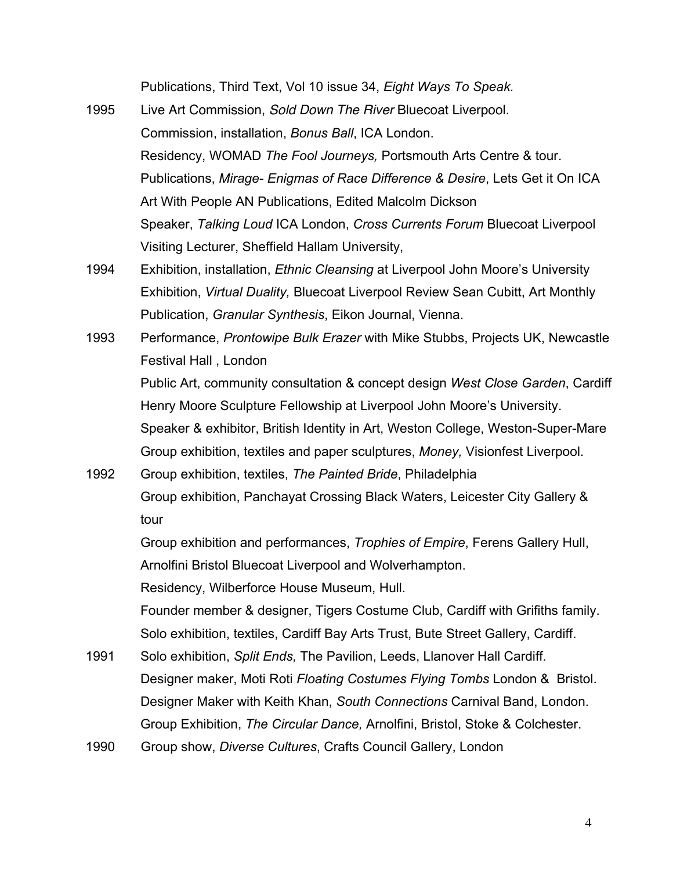Publications, Third Text, Vol 10 issue 34, *Eight Ways To Speak.*

- 1995 Live Art Commission, *Sold Down The River* Bluecoat Liverpool. Commission, installation, *Bonus Ball*, ICA London. Residency, WOMAD *The Fool Journeys,* Portsmouth Arts Centre & tour. Publications, *Mirage- Enigmas of Race Difference & Desire*, Lets Get it On ICA Art With People AN Publications, Edited Malcolm Dickson Speaker, *Talking Loud* ICA London, *Cross Currents Forum* Bluecoat Liverpool Visiting Lecturer, Sheffield Hallam University,
- 1994 Exhibition, installation, *Ethnic Cleansing* at Liverpool John Moore's University Exhibition, *Virtual Duality,* Bluecoat Liverpool Review Sean Cubitt, Art Monthly Publication, *Granular Synthesis*, Eikon Journal, Vienna.
- 1993 Performance, *Prontowipe Bulk Erazer* with Mike Stubbs, Projects UK, Newcastle Festival Hall , London Public Art, community consultation & concept design *West Close Garden*, Cardiff Henry Moore Sculpture Fellowship at Liverpool John Moore's University. Speaker & exhibitor, British Identity in Art, Weston College, Weston-Super-Mare Group exhibition, textiles and paper sculptures, *Money,* Visionfest Liverpool.
- 1992 Group exhibition, textiles, *The Painted Bride*, Philadelphia Group exhibition, Panchayat Crossing Black Waters, Leicester City Gallery & tour

Group exhibition and performances, *Trophies of Empire*, Ferens Gallery Hull, Arnolfini Bristol Bluecoat Liverpool and Wolverhampton.

Residency, Wilberforce House Museum, Hull.

Founder member & designer, Tigers Costume Club, Cardiff with Grifiths family. Solo exhibition, textiles, Cardiff Bay Arts Trust, Bute Street Gallery, Cardiff.

- 1991 Solo exhibition, *Split Ends,* The Pavilion, Leeds, Llanover Hall Cardiff. Designer maker, Moti Roti *Floating Costumes Flying Tombs* London & Bristol. Designer Maker with Keith Khan, *South Connections* Carnival Band, London. Group Exhibition, *The Circular Dance,* Arnolfini, Bristol, Stoke & Colchester.
- 1990 Group show, *Diverse Cultures*, Crafts Council Gallery, London